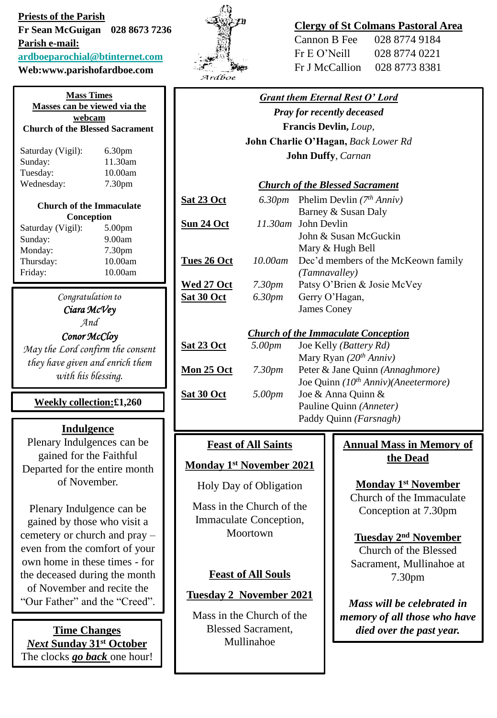**Priests of the Parish Fr Sean McGuigan 028 8673 7236 Parish e-mail: [ardboeparochial@btinternet.com](mailto:ardboeparochial@btinternet.com)**

**Web:www.parishofardboe.com**

**Mass Times Masses can be viewed via the webcam Church of the Blessed Sacrament** Saturday (Vigil): 6.30pm Sunday: 11.30am Tuesday: 10.00am Wednesday: 7.30pm **Church of the Immaculate Conception** Saturday (Vigil): 5.00pm Sunday: 9.00am Monday: 7.30pm Thursday: 10.00am Friday: 10.00am

> *Congratulation to Ciara McVey And*

*Conor McCloy*

*May the Lord confirm the consent they have given and enrich them with his blessing.*

**Weekly collection:£1,260**

## **Indulgence**

Plenary Indulgences can be gained for the Faithful Departed for the entire month of November.

Plenary Indulgence can be gained by those who visit a cemetery or church and pray – even from the comfort of your own home in these times - for the deceased during the month of November and recite the "Our Father" and the "Creed".

*Next* **Sunday 31st October**  The clocks *go back* one hour!



# **Clergy of St Colmans Pastoral Area**

| Cannon B Fee   | 028 8774 9184 |
|----------------|---------------|
| Fr E O' Neill  | 028 8774 0221 |
| Fr J McCallion | 028 8773 8381 |

| <b>Grant them Eternal Rest O' Lord</b>     |                    |                                          |
|--------------------------------------------|--------------------|------------------------------------------|
| <b>Pray for recently deceased</b>          |                    |                                          |
| Francis Devlin, Loup,                      |                    |                                          |
| John Charlie O'Hagan, Back Lower Rd        |                    |                                          |
| <b>John Duffy, Carnan</b>                  |                    |                                          |
|                                            |                    |                                          |
| <b>Church of the Blessed Sacrament</b>     |                    |                                          |
| <u>Sat 23 Oct</u>                          |                    | 6.30pm Phelim Devlin $(7th Anniv)$       |
|                                            |                    | Barney & Susan Daly                      |
| Sun 24 Oct                                 |                    | 11.30am John Devlin                      |
|                                            |                    | John & Susan McGuckin                    |
|                                            |                    | Mary & Hugh Bell                         |
| <u>Tues 26 Oct</u>                         | $10.00$ am         | Dec'd members of the McKeown family      |
|                                            |                    | (Tamnavalley)                            |
| <u>Wed 27 Oct</u>                          | 7.30 <sub>pm</sub> | Patsy O'Brien & Josie McVey              |
| Sat 30 Oct                                 | 6.30pm             | Gerry O'Hagan,                           |
|                                            |                    | James Coney                              |
|                                            |                    |                                          |
| <b>Church of the Immaculate Conception</b> |                    |                                          |
| <b>Sat 23 Oct</b>                          | 5.00pm             | Joe Kelly (Battery Rd)                   |
|                                            |                    | Mary Ryan $(20th Anniv)$                 |
| <b>Mon 25 Oct</b>                          | 7.30 <sub>pm</sub> | Peter & Jane Quinn (Annaghmore)          |
|                                            |                    | Joe Quinn $(10^{th} Anniv)(Aneetermore)$ |
| Sat 30 Oct                                 | 5.00pm             | Joe & Anna Quinn &                       |
|                                            |                    | Pauline Quinn (Anneter)                  |
|                                            |                    | Paddy Quinn (Farsnagh)                   |

## **Feast of All Saints**

## **Monday 1st November 2021**

Holy Day of Obligation

Mass in the Church of the Immaculate Conception, Moortown

## **Feast of All Souls**

## **Tuesday 2 November 2021**

Mass in the Church of the Blessed Sacrament, Mullinahoe

# **Annual Mass in Memory of the Dead**

**Monday 1st November** 

Church of the Immaculate Conception at 7.30pm

## **Tuesday 2nd November**

Church of the Blessed Sacrament, Mullinahoe at 7.30pm

*Mass will be celebrated in memory of all those who have*  **Time Changes diffuse 1.1 Blessed Sacrament,** *died over the past year.*